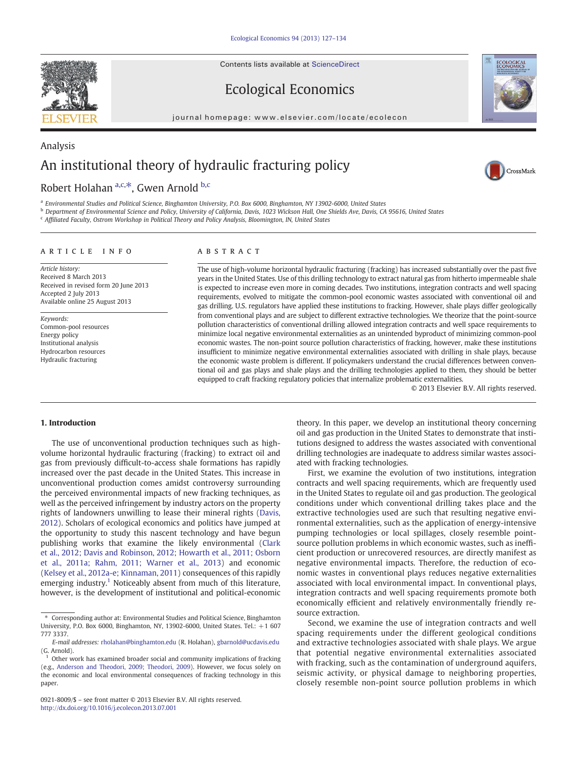Contents lists available at ScienceDirect

## Ecological Economics

journal homepage: www.elsevier.com/locate/ecolecon

## Analysis An institutional theory of hydraulic fracturing policy

Robert Holahan <sup>a,c,\*</sup>, Gwen Arnold <sup>b,c</sup>

<sup>a</sup> Environmental Studies and Political Science, Binghamton University, P.O. Box 6000, Binghamton, NY 13902-6000, United States

b Department of Environmental Science and Policy, University of California, Davis, 1023 Wickson Hall, One Shields Ave, Davis, CA 95616, United States

<sup>c</sup> Affiliated Faculty, Ostrom Workshop in Political Theory and Policy Analysis, Bloomington, IN, United States

### article info abstract

Article history: Received 8 March 2013 Received in revised form 20 June 2013 Accepted 2 July 2013 Available online 25 August 2013

Keywords: Common-pool resources Energy policy Institutional analysis Hydrocarbon resources Hydraulic fracturing

The use of high-volume horizontal hydraulic fracturing (fracking) has increased substantially over the past five years in the United States. Use of this drilling technology to extract natural gas from hitherto impermeable shale is expected to increase even more in coming decades. Two institutions, integration contracts and well spacing requirements, evolved to mitigate the common-pool economic wastes associated with conventional oil and gas drilling. U.S. regulators have applied these institutions to fracking. However, shale plays differ geologically from conventional plays and are subject to different extractive technologies. We theorize that the point-source pollution characteristics of conventional drilling allowed integration contracts and well space requirements to minimize local negative environmental externalities as an unintended byproduct of minimizing common-pool economic wastes. The non-point source pollution characteristics of fracking, however, make these institutions insufficient to minimize negative environmental externalities associated with drilling in shale plays, because the economic waste problem is different. If policymakers understand the crucial differences between conventional oil and gas plays and shale plays and the drilling technologies applied to them, they should be better equipped to craft fracking regulatory policies that internalize problematic externalities.

© 2013 Elsevier B.V. All rights reserved.

#### 1. Introduction

The use of unconventional production techniques such as highvolume horizontal hydraulic fracturing (fracking) to extract oil and gas from previously difficult-to-access shale formations has rapidly increased over the past decade in the United States. This increase in unconventional production comes amidst controversy surrounding the perceived environmental impacts of new fracking techniques, as well as the perceived infringement by industry actors on the property rights of landowners unwilling to lease their mineral rights ([Davis,](#page--1-0) [2012\)](#page--1-0). Scholars of ecological economics and politics have jumped at the opportunity to study this nascent technology and have begun publishing works that examine the likely environmental ([Clark](#page--1-0) [et al., 2012; Davis and Robinson, 2012; Howarth et al., 2011; Osborn](#page--1-0) [et al., 2011a; Rahm, 2011; Warner et al., 2013\)](#page--1-0) and economic [\(Kelsey et al., 2012a-e; Kinnaman, 2011\)](#page--1-0) consequences of this rapidly emerging industry.<sup>1</sup> Noticeably absent from much of this literature, however, is the development of institutional and political-economic

0921-8009/\$ – see front matter © 2013 Elsevier B.V. All rights reserved. <http://dx.doi.org/10.1016/j.ecolecon.2013.07.001>

theory. In this paper, we develop an institutional theory concerning oil and gas production in the United States to demonstrate that institutions designed to address the wastes associated with conventional drilling technologies are inadequate to address similar wastes associated with fracking technologies.

First, we examine the evolution of two institutions, integration contracts and well spacing requirements, which are frequently used in the United States to regulate oil and gas production. The geological conditions under which conventional drilling takes place and the extractive technologies used are such that resulting negative environmental externalities, such as the application of energy-intensive pumping technologies or local spillages, closely resemble pointsource pollution problems in which economic wastes, such as inefficient production or unrecovered resources, are directly manifest as negative environmental impacts. Therefore, the reduction of economic wastes in conventional plays reduces negative externalities associated with local environmental impact. In conventional plays, integration contracts and well spacing requirements promote both economically efficient and relatively environmentally friendly resource extraction.

Second, we examine the use of integration contracts and well spacing requirements under the different geological conditions and extractive technologies associated with shale plays. We argue that potential negative environmental externalities associated with fracking, such as the contamination of underground aquifers, seismic activity, or physical damage to neighboring properties, closely resemble non-point source pollution problems in which





CrossMark

<sup>⁎</sup> Corresponding author at: Environmental Studies and Political Science, Binghamton University, P.O. Box 6000, Binghamton, NY, 13902-6000, United States. Tel.: +1 607 777 3337.

E-mail addresses: [rholahan@binghamton.edu](mailto:rholahan@binghamton.edu) (R. Holahan), [gbarnold@ucdavis.edu](mailto:gbarnold@ucdavis.edu) (G. Arnold).

Other work has examined broader social and community implications of fracking (e.g., [Anderson and Theodori, 2009; Theodori, 2009](#page--1-0)). However, we focus solely on the economic and local environmental consequences of fracking technology in this paper.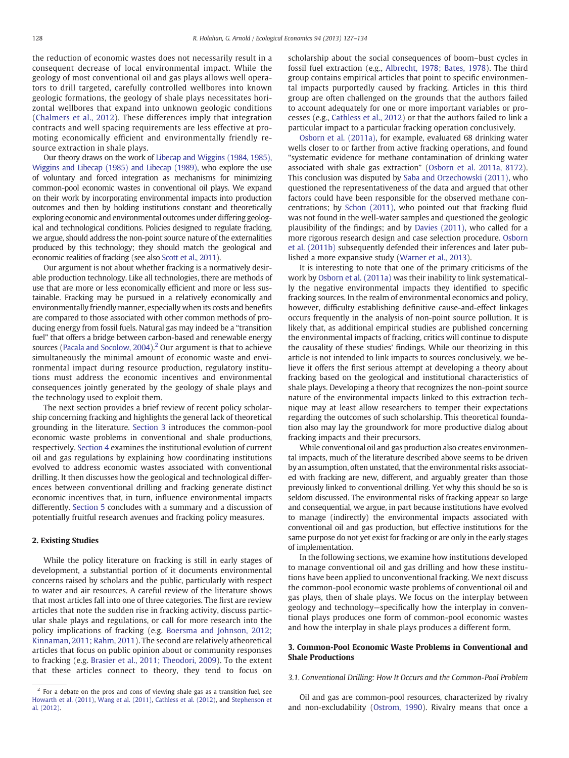the reduction of economic wastes does not necessarily result in a consequent decrease of local environmental impact. While the geology of most conventional oil and gas plays allows well operators to drill targeted, carefully controlled wellbores into known geologic formations, the geology of shale plays necessitates horizontal wellbores that expand into unknown geologic conditions [\(Chalmers et al., 2012\)](#page--1-0). These differences imply that integration contracts and well spacing requirements are less effective at promoting economically efficient and environmentally friendly resource extraction in shale plays.

Our theory draws on the work of [Libecap and Wiggins \(1984, 1985\),](#page--1-0) [Wiggins and Libecap \(1985\) and Libecap \(1989\)](#page--1-0), who explore the use of voluntary and forced integration as mechanisms for minimizing common-pool economic wastes in conventional oil plays. We expand on their work by incorporating environmental impacts into production outcomes and then by holding institutions constant and theoretically exploring economic and environmental outcomes under differing geological and technological conditions. Policies designed to regulate fracking, we argue, should address the non-point source nature of the externalities produced by this technology; they should match the geological and economic realities of fracking (see also [Scott et al., 2011](#page--1-0)).

Our argument is not about whether fracking is a normatively desirable production technology. Like all technologies, there are methods of use that are more or less economically efficient and more or less sustainable. Fracking may be pursued in a relatively economically and environmentally friendly manner, especially when its costs and benefits are compared to those associated with other common methods of producing energy from fossil fuels. Natural gas may indeed be a "transition fuel" that offers a bridge between carbon-based and renewable energy sources [\(Pacala and Socolow, 2004](#page--1-0)). $^2$  Our argument is that to achieve simultaneously the minimal amount of economic waste and environmental impact during resource production, regulatory institutions must address the economic incentives and environmental consequences jointly generated by the geology of shale plays and the technology used to exploit them.

The next section provides a brief review of recent policy scholarship concerning fracking and highlights the general lack of theoretical grounding in the literature. Section 3 introduces the common-pool economic waste problems in conventional and shale productions, respectively. [Section 4](#page--1-0) examines the institutional evolution of current oil and gas regulations by explaining how coordinating institutions evolved to address economic wastes associated with conventional drilling. It then discusses how the geological and technological differences between conventional drilling and fracking generate distinct economic incentives that, in turn, influence environmental impacts differently. [Section 5](#page--1-0) concludes with a summary and a discussion of potentially fruitful research avenues and fracking policy measures.

#### 2. Existing Studies

While the policy literature on fracking is still in early stages of development, a substantial portion of it documents environmental concerns raised by scholars and the public, particularly with respect to water and air resources. A careful review of the literature shows that most articles fall into one of three categories. The first are review articles that note the sudden rise in fracking activity, discuss particular shale plays and regulations, or call for more research into the policy implications of fracking (e.g. [Boersma and Johnson, 2012;](#page--1-0) [Kinnaman, 2011; Rahm, 2011\)](#page--1-0). The second are relatively atheoretical articles that focus on public opinion about or community responses to fracking (e.g. [Brasier et al., 2011; Theodori, 2009\)](#page--1-0). To the extent that these articles connect to theory, they tend to focus on

scholarship about the social consequences of boom–bust cycles in fossil fuel extraction (e.g., [Albrecht, 1978; Bates, 1978\)](#page--1-0). The third group contains empirical articles that point to specific environmental impacts purportedly caused by fracking. Articles in this third group are often challenged on the grounds that the authors failed to account adequately for one or more important variables or processes (e.g., [Cathless et al., 2012](#page--1-0)) or that the authors failed to link a particular impact to a particular fracking operation conclusively.

[Osborn et al. \(2011a\)](#page--1-0), for example, evaluated 68 drinking water wells closer to or farther from active fracking operations, and found "systematic evidence for methane contamination of drinking water associated with shale gas extraction" ([Osborn et al. 2011a, 8172](#page--1-0)). This conclusion was disputed by [Saba and Orzechowski \(2011\)](#page--1-0), who questioned the representativeness of the data and argued that other factors could have been responsible for the observed methane concentrations; by [Schon \(2011\)](#page--1-0), who pointed out that fracking fluid was not found in the well-water samples and questioned the geologic plausibility of the findings; and by [Davies \(2011\),](#page--1-0) who called for a more rigorous research design and case selection procedure. [Osborn](#page--1-0) [et al. \(2011b\)](#page--1-0) subsequently defended their inferences and later published a more expansive study ([Warner et al., 2013\)](#page--1-0).

It is interesting to note that one of the primary criticisms of the work by [Osborn et al. \(2011a\)](#page--1-0) was their inability to link systematically the negative environmental impacts they identified to specific fracking sources. In the realm of environmental economics and policy, however, difficulty establishing definitive cause-and-effect linkages occurs frequently in the analysis of non-point source pollution. It is likely that, as additional empirical studies are published concerning the environmental impacts of fracking, critics will continue to dispute the causality of these studies' findings. While our theorizing in this article is not intended to link impacts to sources conclusively, we believe it offers the first serious attempt at developing a theory about fracking based on the geological and institutional characteristics of shale plays. Developing a theory that recognizes the non-point source nature of the environmental impacts linked to this extraction technique may at least allow researchers to temper their expectations regarding the outcomes of such scholarship. This theoretical foundation also may lay the groundwork for more productive dialog about fracking impacts and their precursors.

While conventional oil and gas production also creates environmental impacts, much of the literature described above seems to be driven by an assumption, often unstated, that the environmental risks associated with fracking are new, different, and arguably greater than those previously linked to conventional drilling. Yet why this should be so is seldom discussed. The environmental risks of fracking appear so large and consequential, we argue, in part because institutions have evolved to manage (indirectly) the environmental impacts associated with conventional oil and gas production, but effective institutions for the same purpose do not yet exist for fracking or are only in the early stages of implementation.

In the following sections, we examine how institutions developed to manage conventional oil and gas drilling and how these institutions have been applied to unconventional fracking. We next discuss the common-pool economic waste problems of conventional oil and gas plays, then of shale plays. We focus on the interplay between geology and technology—specifically how the interplay in conventional plays produces one form of common-pool economic wastes and how the interplay in shale plays produces a different form.

#### 3. Common-Pool Economic Waste Problems in Conventional and Shale Productions

#### 3.1. Conventional Drilling: How It Occurs and the Common-Pool Problem

Oil and gas are common-pool resources, characterized by rivalry and non-excludability [\(Ostrom, 1990](#page--1-0)). Rivalry means that once a

 $2$  For a debate on the pros and cons of viewing shale gas as a transition fuel, see [Howarth et al. \(2011\),](#page--1-0) [Wang et al. \(2011\),](#page--1-0) [Cathless et al. \(2012\),](#page--1-0) and [Stephenson et](#page--1-0) [al. \(2012\)](#page--1-0).